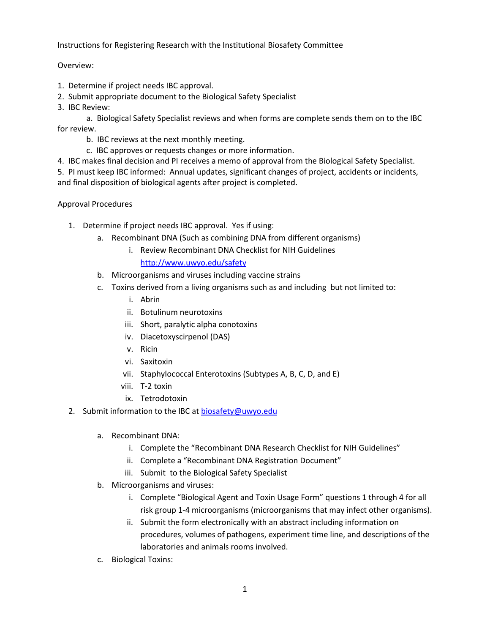Instructions for Registering Research with the Institutional Biosafety Committee

## Overview:

- 1. Determine if project needs IBC approval.
- 2. Submit appropriate document to the Biological Safety Specialist
- 3. IBC Review:

a. Biological Safety Specialist reviews and when forms are complete sends them on to the IBC for review.

- b. IBC reviews at the next monthly meeting.
- c. IBC approves or requests changes or more information.
- 4. IBC makes final decision and PI receives a memo of approval from the Biological Safety Specialist.

5. PI must keep IBC informed: Annual updates, significant changes of project, accidents or incidents, and final disposition of biological agents after project is completed.

## Approval Procedures

- 1. Determine if project needs IBC approval. Yes if using:
	- a. Recombinant DNA (Such as combining DNA from different organisms)
		- i. Review Recombinant DNA Checklist for NIH Guidelines
			- <http://www.uwyo.edu/safety>
	- b. Microorganisms and viruses including vaccine strains
	- c. Toxins derived from a living organisms such as and including but not limited to:
		- i. Abrin
		- ii. Botulinum neurotoxins
		- iii. Short, paralytic alpha conotoxins
		- iv. Diacetoxyscirpenol (DAS)
		- v. Ricin
		- vi. Saxitoxin
		- vii. Staphylococcal Enterotoxins (Subtypes A, B, C, D, and E)
		- viii. T-2 toxin
		- ix. Tetrodotoxin
- 2. Submit information to the IBC at [biosafety@uwyo.edu](mailto:uwehs@uwyo.edu)
	- a. Recombinant DNA:
		- i. Complete the "Recombinant DNA Research Checklist for NIH Guidelines"
		- ii. Complete a "Recombinant DNA Registration Document"
		- iii. Submit to the Biological Safety Specialist
	- b. Microorganisms and viruses:
		- i. Complete "Biological Agent and Toxin Usage Form" questions 1 through 4 for all risk group 1-4 microorganisms (microorganisms that may infect other organisms).
		- ii. Submit the form electronically with an abstract including information on procedures, volumes of pathogens, experiment time line, and descriptions of the laboratories and animals rooms involved.
	- c. Biological Toxins: